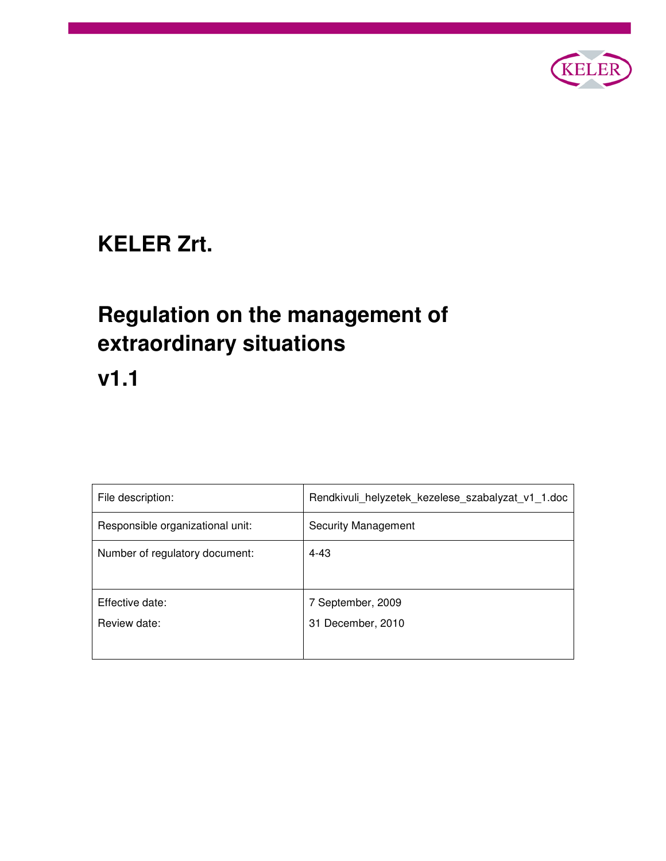

# **KELER Zrt.**

# **Regulation on the management of extraordinary situations**

**v1.1** 

| File description:                | Rendkivuli_helyzetek_kezelese_szabalyzat_v1_1.doc |
|----------------------------------|---------------------------------------------------|
| Responsible organizational unit: | <b>Security Management</b>                        |
| Number of regulatory document:   | $4 - 43$                                          |
|                                  |                                                   |
| Effective date:                  | 7 September, 2009                                 |
| Review date:                     | 31 December, 2010                                 |
|                                  |                                                   |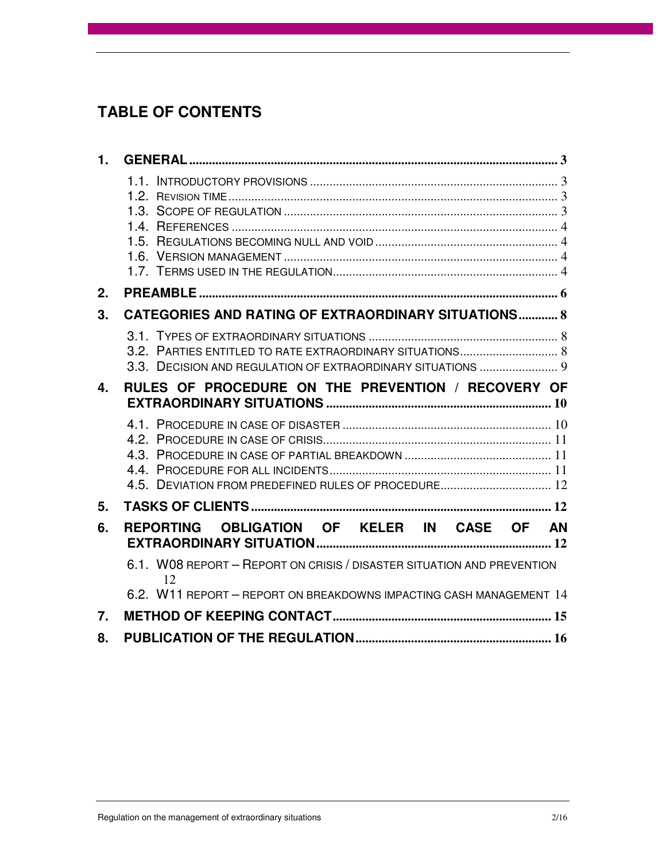## **TABLE OF CONTENTS**

| 1.             |                                                                                                                         |
|----------------|-------------------------------------------------------------------------------------------------------------------------|
|                |                                                                                                                         |
| 2.             |                                                                                                                         |
| 3.             | <b>CATEGORIES AND RATING OF EXTRAORDINARY SITUATIONS 8</b>                                                              |
|                | 3.2. PARTIES ENTITLED TO RATE EXTRAORDINARY SITUATIONS 8<br>3.3. DECISION AND REGULATION OF EXTRAORDINARY SITUATIONS  9 |
| 4 <sub>1</sub> | RULES OF PROCEDURE ON THE PREVENTION / RECOVERY OF                                                                      |
|                |                                                                                                                         |
| 5.             |                                                                                                                         |
| 6.             | REPORTING OBLIGATION OF KELER IN CASE OF AN                                                                             |
|                | 6.1. WO8 REPORT - REPORT ON CRISIS / DISASTER SITUATION AND PREVENTION<br>12                                            |
|                | 6.2. W11 REPORT - REPORT ON BREAKDOWNS IMPACTING CASH MANAGEMENT 14                                                     |
| 7.             |                                                                                                                         |
| 8.             |                                                                                                                         |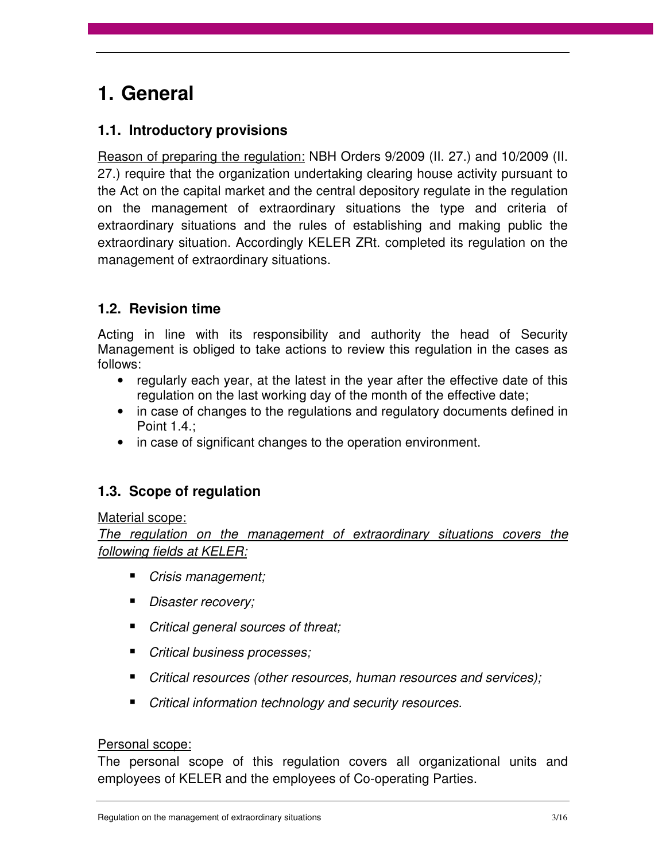## **1. General**

### **1.1. Introductory provisions**

Reason of preparing the regulation: NBH Orders 9/2009 (II. 27.) and 10/2009 (II. 27.) require that the organization undertaking clearing house activity pursuant to the Act on the capital market and the central depository regulate in the regulation on the management of extraordinary situations the type and criteria of extraordinary situations and the rules of establishing and making public the extraordinary situation. Accordingly KELER ZRt. completed its regulation on the management of extraordinary situations.

### **1.2. Revision time**

Acting in line with its responsibility and authority the head of Security Management is obliged to take actions to review this regulation in the cases as follows:

- regularly each year, at the latest in the year after the effective date of this regulation on the last working day of the month of the effective date;
- in case of changes to the regulations and regulatory documents defined in Point 1.4.;
- in case of significant changes to the operation environment.

### **1.3. Scope of regulation**

#### Material scope:

The regulation on the management of extraordinary situations covers the following fields at KELER:

- Crisis management;
- Disaster recovery;
- Critical general sources of threat;
- Critical business processes;
- Critical resources (other resources, human resources and services);
- Critical information technology and security resources.

#### Personal scope:

The personal scope of this regulation covers all organizational units and employees of KELER and the employees of Co-operating Parties.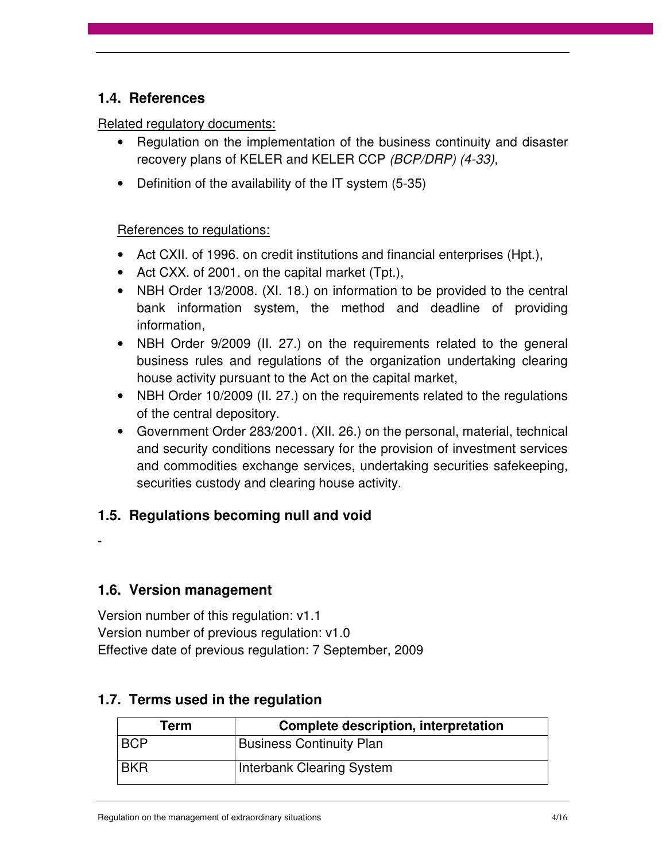### **1.4. References**

#### Related regulatory documents:

- Regulation on the implementation of the business continuity and disaster recovery plans of KELER and KELER CCP (BCP/DRP) (4-33),
- Definition of the availability of the IT system (5-35)

#### References to regulations:

- Act CXII. of 1996. on credit institutions and financial enterprises (Hpt.),
- Act CXX. of 2001. on the capital market (Tpt.),
- NBH Order 13/2008. (XI. 18.) on information to be provided to the central bank information system, the method and deadline of providing information,
- NBH Order 9/2009 (II. 27.) on the requirements related to the general business rules and regulations of the organization undertaking clearing house activity pursuant to the Act on the capital market,
- NBH Order 10/2009 (II. 27.) on the requirements related to the regulations of the central depository.
- Government Order 283/2001. (XII. 26.) on the personal, material, technical and security conditions necessary for the provision of investment services and commodities exchange services, undertaking securities safekeeping, securities custody and clearing house activity.

### **1.5. Regulations becoming null and void**

**1.6. Version management** 

-

Version number of this regulation: v1.1 Version number of previous regulation: v1.0 Effective date of previous regulation: 7 September, 2009

## **Term Complete description, interpretation**  BCP | Business Continuity Plan BKR | Interbank Clearing System

### **1.7. Terms used in the regulation**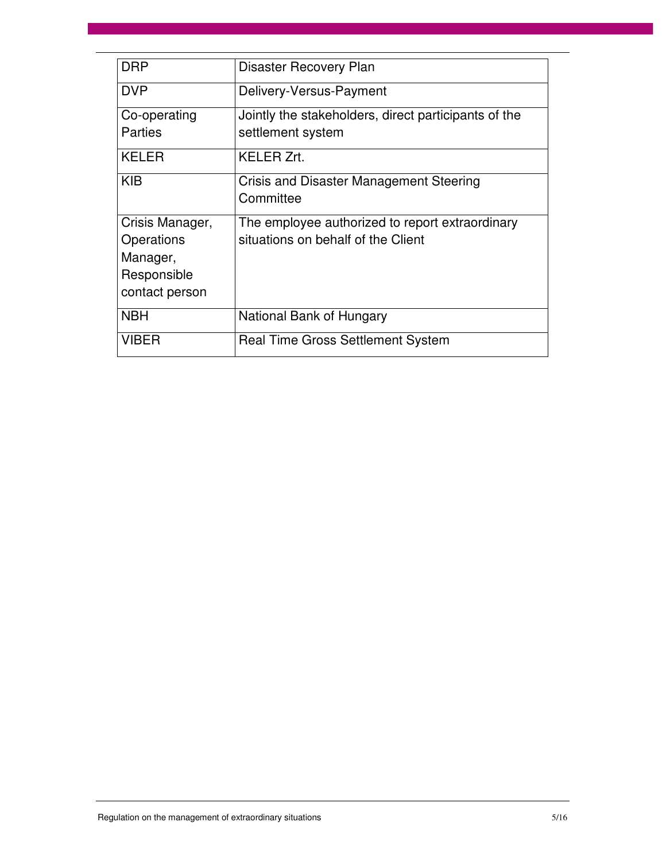| <b>DRP</b>                                                                 | Disaster Recovery Plan                                                                |
|----------------------------------------------------------------------------|---------------------------------------------------------------------------------------|
| <b>DVP</b>                                                                 | Delivery-Versus-Payment                                                               |
| Co-operating<br>Parties                                                    | Jointly the stakeholders, direct participants of the<br>settlement system             |
| <b>KELER</b>                                                               | <b>KELER Zrt.</b>                                                                     |
| <b>KIB</b>                                                                 | <b>Crisis and Disaster Management Steering</b><br>Committee                           |
| Crisis Manager,<br>Operations<br>Manager,<br>Responsible<br>contact person | The employee authorized to report extraordinary<br>situations on behalf of the Client |
| <b>NBH</b>                                                                 | National Bank of Hungary                                                              |
| <b>VIBER</b>                                                               | <b>Real Time Gross Settlement System</b>                                              |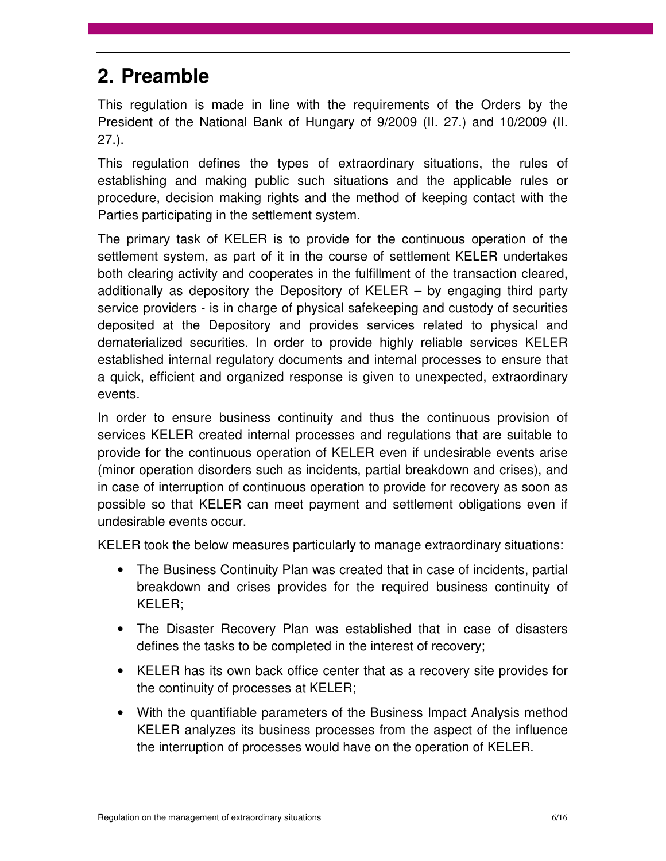## **2. Preamble**

This regulation is made in line with the requirements of the Orders by the President of the National Bank of Hungary of 9/2009 (II. 27.) and 10/2009 (II. 27.).

This regulation defines the types of extraordinary situations, the rules of establishing and making public such situations and the applicable rules or procedure, decision making rights and the method of keeping contact with the Parties participating in the settlement system.

The primary task of KELER is to provide for the continuous operation of the settlement system, as part of it in the course of settlement KELER undertakes both clearing activity and cooperates in the fulfillment of the transaction cleared, additionally as depository the Depository of KELER – by engaging third party service providers - is in charge of physical safekeeping and custody of securities deposited at the Depository and provides services related to physical and dematerialized securities. In order to provide highly reliable services KELER established internal regulatory documents and internal processes to ensure that a quick, efficient and organized response is given to unexpected, extraordinary events.

In order to ensure business continuity and thus the continuous provision of services KELER created internal processes and regulations that are suitable to provide for the continuous operation of KELER even if undesirable events arise (minor operation disorders such as incidents, partial breakdown and crises), and in case of interruption of continuous operation to provide for recovery as soon as possible so that KELER can meet payment and settlement obligations even if undesirable events occur.

KELER took the below measures particularly to manage extraordinary situations:

- The Business Continuity Plan was created that in case of incidents, partial breakdown and crises provides for the required business continuity of KELER;
- The Disaster Recovery Plan was established that in case of disasters defines the tasks to be completed in the interest of recovery;
- KELER has its own back office center that as a recovery site provides for the continuity of processes at KELER;
- With the quantifiable parameters of the Business Impact Analysis method KELER analyzes its business processes from the aspect of the influence the interruption of processes would have on the operation of KELER.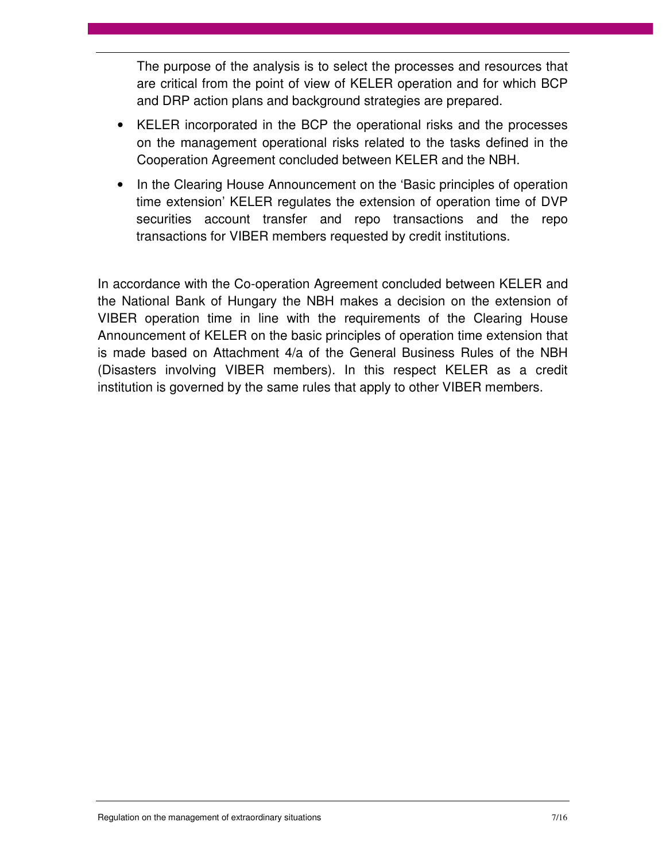The purpose of the analysis is to select the processes and resources that are critical from the point of view of KELER operation and for which BCP and DRP action plans and background strategies are prepared.

- KELER incorporated in the BCP the operational risks and the processes on the management operational risks related to the tasks defined in the Cooperation Agreement concluded between KELER and the NBH.
- In the Clearing House Announcement on the 'Basic principles of operation time extension' KELER regulates the extension of operation time of DVP securities account transfer and repo transactions and the repo transactions for VIBER members requested by credit institutions.

In accordance with the Co-operation Agreement concluded between KELER and the National Bank of Hungary the NBH makes a decision on the extension of VIBER operation time in line with the requirements of the Clearing House Announcement of KELER on the basic principles of operation time extension that is made based on Attachment 4/a of the General Business Rules of the NBH (Disasters involving VIBER members). In this respect KELER as a credit institution is governed by the same rules that apply to other VIBER members.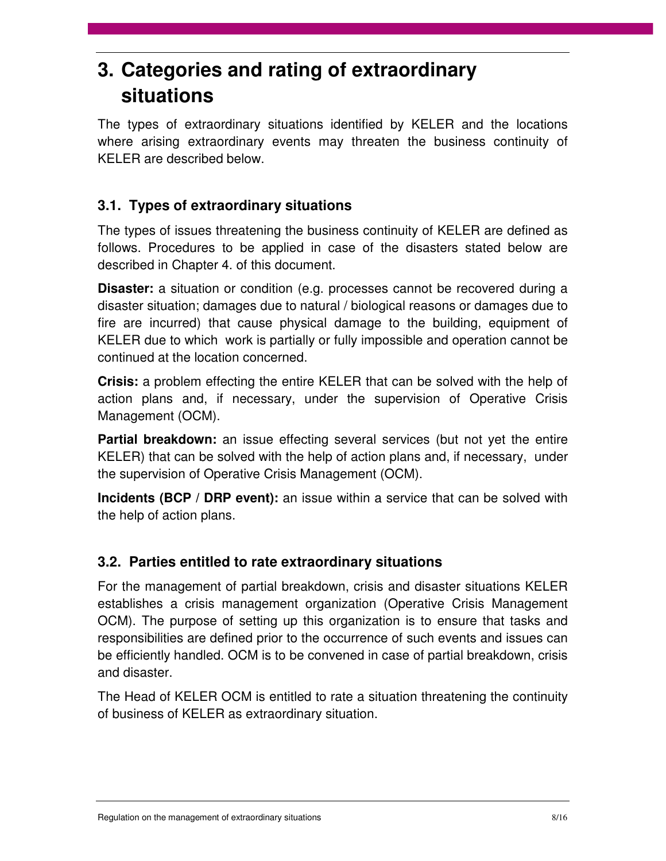## **3. Categories and rating of extraordinary situations**

The types of extraordinary situations identified by KELER and the locations where arising extraordinary events may threaten the business continuity of KELER are described below.

## **3.1. Types of extraordinary situations**

The types of issues threatening the business continuity of KELER are defined as follows. Procedures to be applied in case of the disasters stated below are described in Chapter 4. of this document.

**Disaster:** a situation or condition (e.g. processes cannot be recovered during a disaster situation; damages due to natural / biological reasons or damages due to fire are incurred) that cause physical damage to the building, equipment of KELER due to which work is partially or fully impossible and operation cannot be continued at the location concerned.

**Crisis:** a problem effecting the entire KELER that can be solved with the help of action plans and, if necessary, under the supervision of Operative Crisis Management (OCM).

**Partial breakdown:** an issue effecting several services (but not yet the entire KELER) that can be solved with the help of action plans and, if necessary, under the supervision of Operative Crisis Management (OCM).

**Incidents (BCP / DRP event):** an issue within a service that can be solved with the help of action plans.

## **3.2. Parties entitled to rate extraordinary situations**

For the management of partial breakdown, crisis and disaster situations KELER establishes a crisis management organization (Operative Crisis Management OCM). The purpose of setting up this organization is to ensure that tasks and responsibilities are defined prior to the occurrence of such events and issues can be efficiently handled. OCM is to be convened in case of partial breakdown, crisis and disaster.

The Head of KELER OCM is entitled to rate a situation threatening the continuity of business of KELER as extraordinary situation.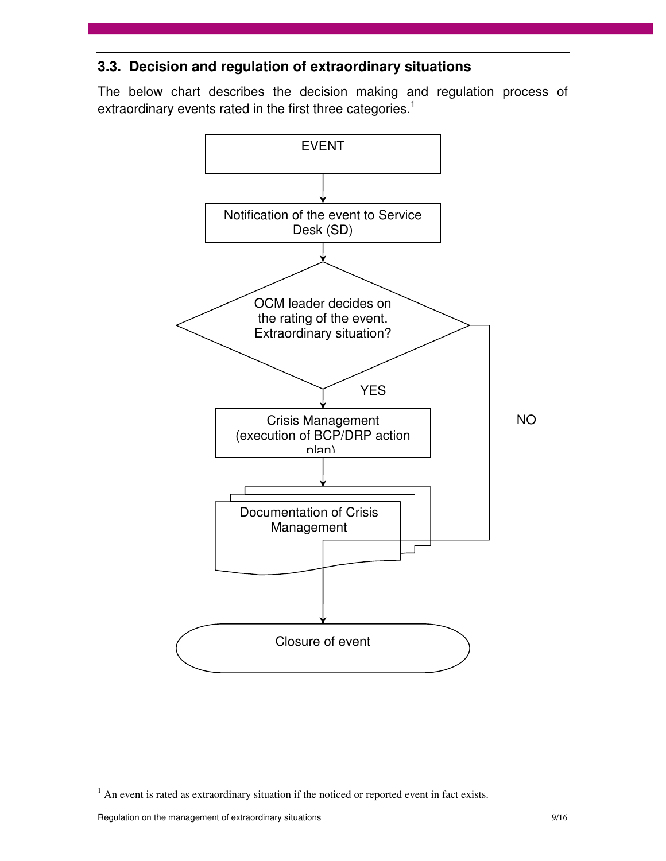### **3.3. Decision and regulation of extraordinary situations**

The below chart describes the decision making and regulation process of extraordinary events rated in the first three categories.<sup>1</sup>



Regulation on the management of extraordinary situations and the management of extraordinary situations of the management of extraordinary situations of the management of extraordinary situations of the management of extra

 $\overline{a}$ 

 $<sup>1</sup>$  An event is rated as extraordinary situation if the noticed or reported event in fact exists.</sup>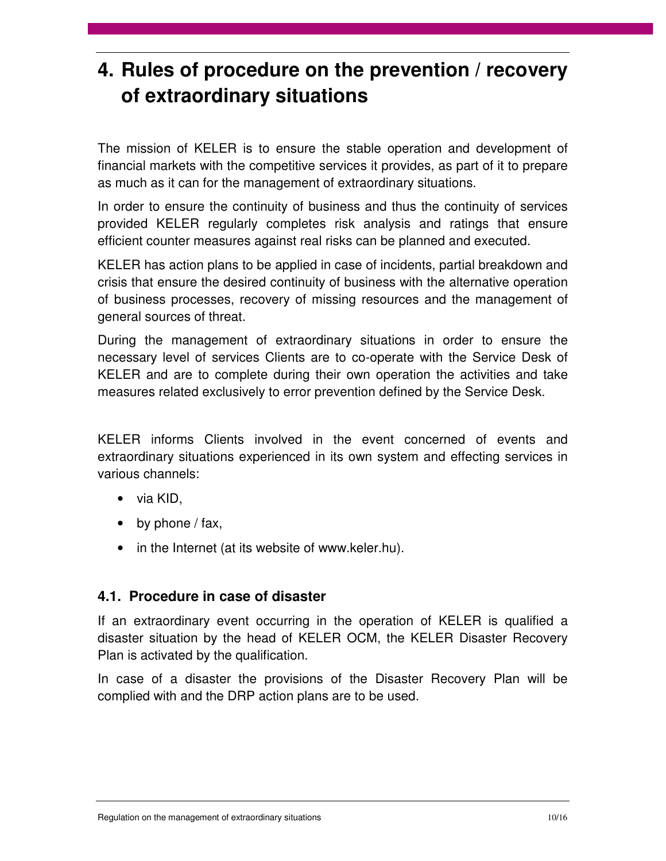## **4. Rules of procedure on the prevention / recovery of extraordinary situations**

The mission of KELER is to ensure the stable operation and development of financial markets with the competitive services it provides, as part of it to prepare as much as it can for the management of extraordinary situations.

In order to ensure the continuity of business and thus the continuity of services provided KELER regularly completes risk analysis and ratings that ensure efficient counter measures against real risks can be planned and executed.

KELER has action plans to be applied in case of incidents, partial breakdown and crisis that ensure the desired continuity of business with the alternative operation of business processes, recovery of missing resources and the management of general sources of threat.

During the management of extraordinary situations in order to ensure the necessary level of services Clients are to co-operate with the Service Desk of KELER and are to complete during their own operation the activities and take measures related exclusively to error prevention defined by the Service Desk.

KELER informs Clients involved in the event concerned of events and extraordinary situations experienced in its own system and effecting services in various channels:

- via KID,
- by phone  $/$  fax,
- in the Internet (at its website of www.keler.hu).

### **4.1. Procedure in case of disaster**

If an extraordinary event occurring in the operation of KELER is qualified a disaster situation by the head of KELER OCM, the KELER Disaster Recovery Plan is activated by the qualification.

In case of a disaster the provisions of the Disaster Recovery Plan will be complied with and the DRP action plans are to be used.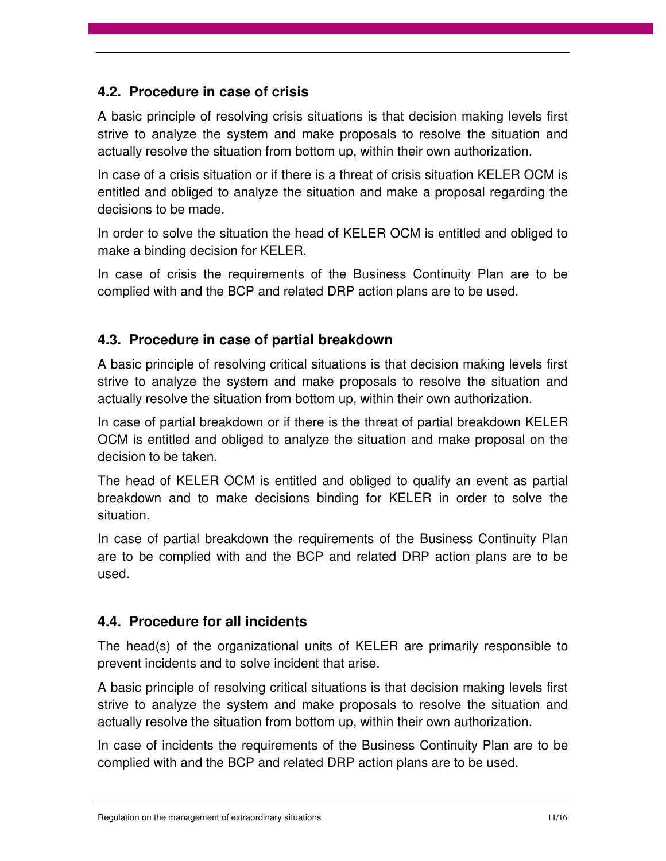### **4.2. Procedure in case of crisis**

A basic principle of resolving crisis situations is that decision making levels first strive to analyze the system and make proposals to resolve the situation and actually resolve the situation from bottom up, within their own authorization.

In case of a crisis situation or if there is a threat of crisis situation KELER OCM is entitled and obliged to analyze the situation and make a proposal regarding the decisions to be made.

In order to solve the situation the head of KELER OCM is entitled and obliged to make a binding decision for KELER.

In case of crisis the requirements of the Business Continuity Plan are to be complied with and the BCP and related DRP action plans are to be used.

### **4.3. Procedure in case of partial breakdown**

A basic principle of resolving critical situations is that decision making levels first strive to analyze the system and make proposals to resolve the situation and actually resolve the situation from bottom up, within their own authorization.

In case of partial breakdown or if there is the threat of partial breakdown KELER OCM is entitled and obliged to analyze the situation and make proposal on the decision to be taken.

The head of KELER OCM is entitled and obliged to qualify an event as partial breakdown and to make decisions binding for KELER in order to solve the situation.

In case of partial breakdown the requirements of the Business Continuity Plan are to be complied with and the BCP and related DRP action plans are to be used.

### **4.4. Procedure for all incidents**

The head(s) of the organizational units of KELER are primarily responsible to prevent incidents and to solve incident that arise.

A basic principle of resolving critical situations is that decision making levels first strive to analyze the system and make proposals to resolve the situation and actually resolve the situation from bottom up, within their own authorization.

In case of incidents the requirements of the Business Continuity Plan are to be complied with and the BCP and related DRP action plans are to be used.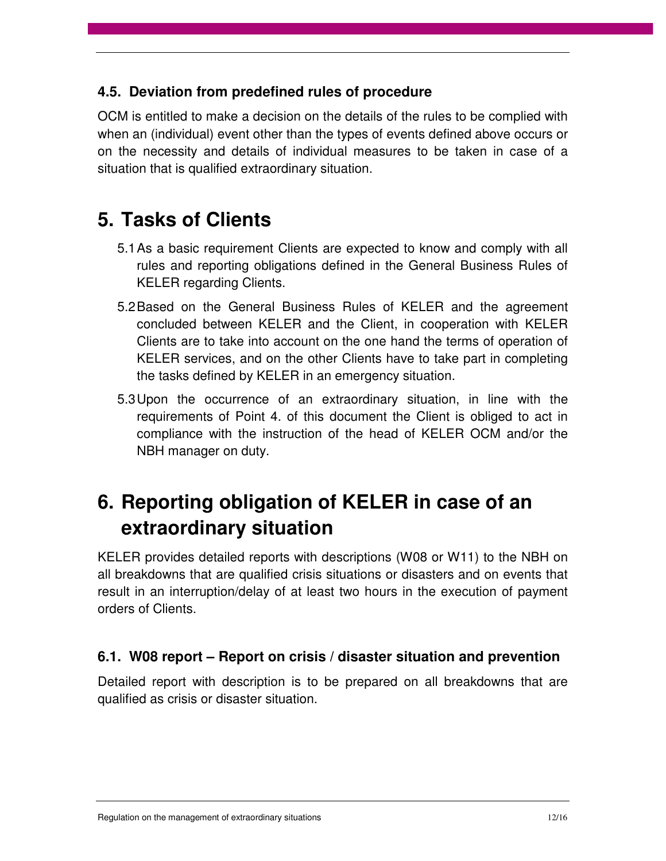### **4.5. Deviation from predefined rules of procedure**

OCM is entitled to make a decision on the details of the rules to be complied with when an (individual) event other than the types of events defined above occurs or on the necessity and details of individual measures to be taken in case of a situation that is qualified extraordinary situation.

## **5. Tasks of Clients**

- 5.1 As a basic requirement Clients are expected to know and comply with all rules and reporting obligations defined in the General Business Rules of KELER regarding Clients.
- 5.2 Based on the General Business Rules of KELER and the agreement concluded between KELER and the Client, in cooperation with KELER Clients are to take into account on the one hand the terms of operation of KELER services, and on the other Clients have to take part in completing the tasks defined by KELER in an emergency situation.
- 5.3 Upon the occurrence of an extraordinary situation, in line with the requirements of Point 4. of this document the Client is obliged to act in compliance with the instruction of the head of KELER OCM and/or the NBH manager on duty.

## **6. Reporting obligation of KELER in case of an extraordinary situation**

KELER provides detailed reports with descriptions (W08 or W11) to the NBH on all breakdowns that are qualified crisis situations or disasters and on events that result in an interruption/delay of at least two hours in the execution of payment orders of Clients.

### **6.1. W08 report – Report on crisis / disaster situation and prevention**

Detailed report with description is to be prepared on all breakdowns that are qualified as crisis or disaster situation.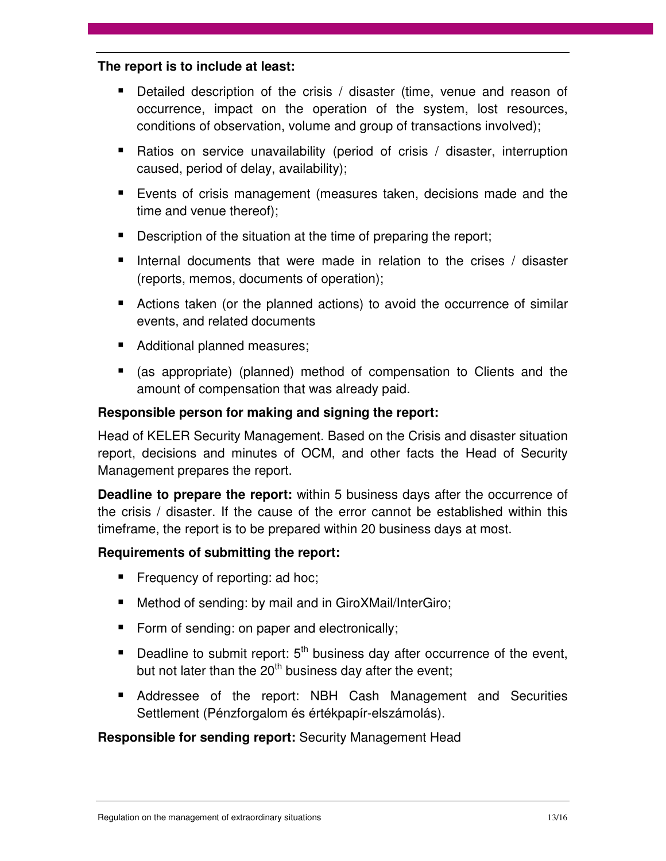#### **The report is to include at least:**

- Detailed description of the crisis / disaster (time, venue and reason of occurrence, impact on the operation of the system, lost resources, conditions of observation, volume and group of transactions involved);
- Ratios on service unavailability (period of crisis / disaster, interruption caused, period of delay, availability);
- Events of crisis management (measures taken, decisions made and the time and venue thereof);
- Description of the situation at the time of preparing the report;
- Internal documents that were made in relation to the crises  $\prime$  disaster (reports, memos, documents of operation);
- Actions taken (or the planned actions) to avoid the occurrence of similar events, and related documents
- Additional planned measures;
- (as appropriate) (planned) method of compensation to Clients and the amount of compensation that was already paid.

### **Responsible person for making and signing the report:**

Head of KELER Security Management. Based on the Crisis and disaster situation report, decisions and minutes of OCM, and other facts the Head of Security Management prepares the report.

**Deadline to prepare the report:** within 5 business days after the occurrence of the crisis / disaster. If the cause of the error cannot be established within this timeframe, the report is to be prepared within 20 business days at most.

#### **Requirements of submitting the report:**

- **Figure 1** Frequency of reporting: ad hoc;
- Method of sending: by mail and in GiroXMail/InterGiro;
- Form of sending: on paper and electronically;
- Deadline to submit report:  $5<sup>th</sup>$  business day after occurrence of the event, but not later than the  $20<sup>th</sup>$  business day after the event:
- Addressee of the report: NBH Cash Management and Securities Settlement (Pénzforgalom és értékpapír-elszámolás).

#### **Responsible for sending report:** Security Management Head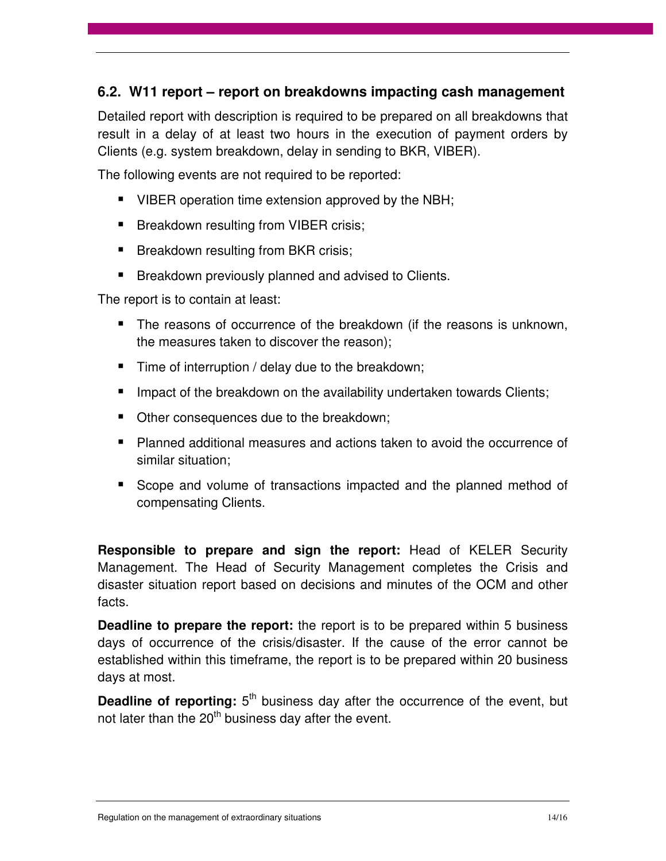### **6.2. W11 report – report on breakdowns impacting cash management**

Detailed report with description is required to be prepared on all breakdowns that result in a delay of at least two hours in the execution of payment orders by Clients (e.g. system breakdown, delay in sending to BKR, VIBER).

The following events are not required to be reported:

- VIBER operation time extension approved by the NBH;
- **Breakdown resulting from VIBER crisis;**
- **Breakdown resulting from BKR crisis;**
- **Breakdown previously planned and advised to Clients.**

The report is to contain at least:

- The reasons of occurrence of the breakdown (if the reasons is unknown, the measures taken to discover the reason);
- $\blacksquare$  Time of interruption / delay due to the breakdown;
- Impact of the breakdown on the availability undertaken towards Clients;
- Other consequences due to the breakdown;
- **Planned additional measures and actions taken to avoid the occurrence of** similar situation;
- Scope and volume of transactions impacted and the planned method of compensating Clients.

**Responsible to prepare and sign the report:** Head of KELER Security Management. The Head of Security Management completes the Crisis and disaster situation report based on decisions and minutes of the OCM and other facts.

**Deadline to prepare the report:** the report is to be prepared within 5 business days of occurrence of the crisis/disaster. If the cause of the error cannot be established within this timeframe, the report is to be prepared within 20 business days at most.

**Deadline of reporting:** 5<sup>th</sup> business day after the occurrence of the event, but not later than the 20<sup>th</sup> business day after the event.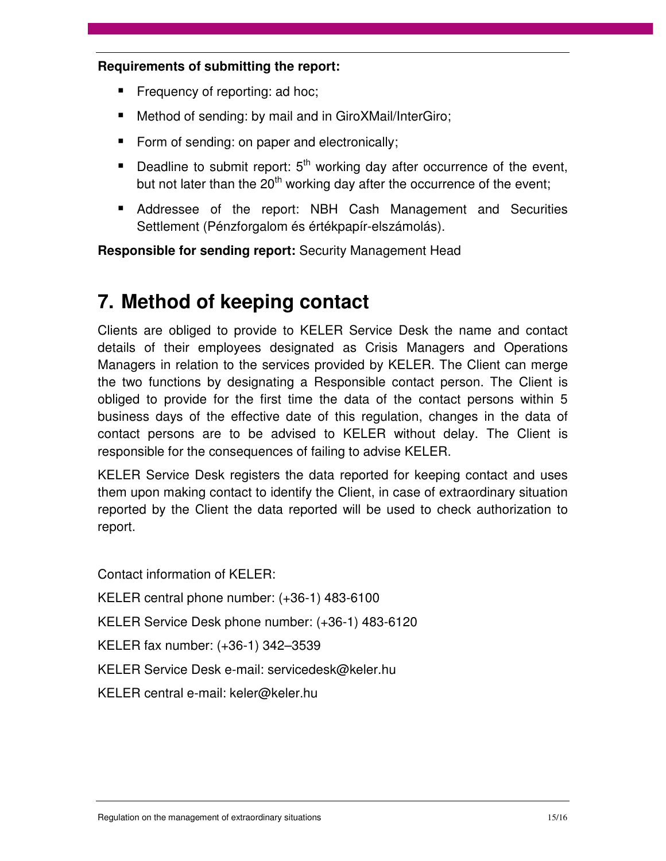#### **Requirements of submitting the report:**

- Frequency of reporting: ad hoc;
- Method of sending: by mail and in GiroXMail/InterGiro;
- Form of sending: on paper and electronically;
- Deadline to submit report:  $5<sup>th</sup>$  working day after occurrence of the event, but not later than the  $20<sup>th</sup>$  working day after the occurrence of the event;
- Addressee of the report: NBH Cash Management and Securities Settlement (Pénzforgalom és értékpapír-elszámolás).

**Responsible for sending report:** Security Management Head

## **7. Method of keeping contact**

Clients are obliged to provide to KELER Service Desk the name and contact details of their employees designated as Crisis Managers and Operations Managers in relation to the services provided by KELER. The Client can merge the two functions by designating a Responsible contact person. The Client is obliged to provide for the first time the data of the contact persons within 5 business days of the effective date of this regulation, changes in the data of contact persons are to be advised to KELER without delay. The Client is responsible for the consequences of failing to advise KELER.

KELER Service Desk registers the data reported for keeping contact and uses them upon making contact to identify the Client, in case of extraordinary situation reported by the Client the data reported will be used to check authorization to report.

Contact information of KELER:

- KELER central phone number: (+36-1) 483-6100
- KELER Service Desk phone number: (+36-1) 483-6120
- KELER fax number: (+36-1) 342–3539
- KELER Service Desk e-mail: servicedesk@keler.hu
- KELER central e-mail: keler@keler.hu